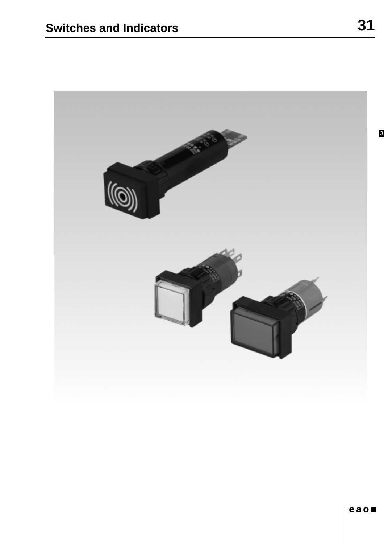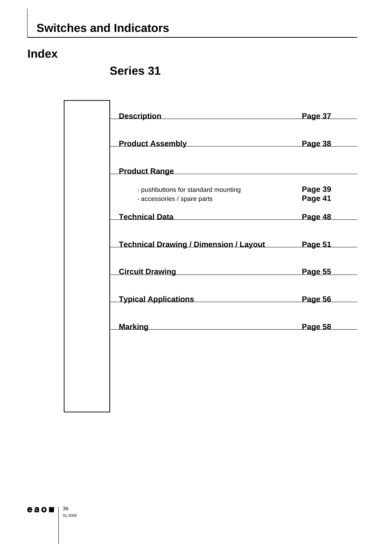## **Index**

## **Series 31**

| Description Description                                            | Page 37                                                                                                                  |
|--------------------------------------------------------------------|--------------------------------------------------------------------------------------------------------------------------|
| Product Assembly Product Assembly                                  |                                                                                                                          |
| Product Range <b>Example 2018</b>                                  |                                                                                                                          |
| - pushbuttons for standard mounting<br>- accessories / spare parts | Page 39<br>Page 41                                                                                                       |
| Technical Data <b>National Page 48</b>                             |                                                                                                                          |
| Technical Drawing / Dimension / Layout Page 51                     |                                                                                                                          |
| Circuit Drawing <b>Contract Page 55</b>                            |                                                                                                                          |
| <b>Typical Applications Community Page 56</b>                      |                                                                                                                          |
|                                                                    | Marking Marking and the Marking of the Marking of the Marking of the Marking of the Markin and the Markin and<br>Page 58 |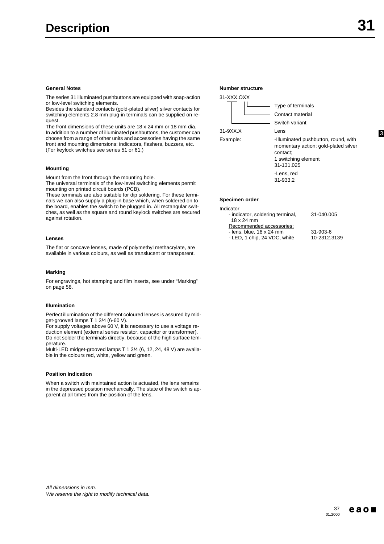The series 31 illuminated pushbuttons are equipped with snap-action or low-level switching elements.

Besides the standard contacts (gold-plated silver) silver contacts for switching elements 2.8 mm plug-in terminals can be supplied on request.

The front dimensions of these units are 18 x 24 mm or 18 mm dia. In addition to a number of illuminated pushbuttons, the customer can choose from a range of other units and accessories having the same front and mounting dimensions: indicators, flashers, buzzers, etc. (For keylock switches see series 51 or 61.)

#### **Mounting**

Mount from the front through the mounting hole.

The universal terminals of the low-level switching elements permit mounting on printed circuit boards (PCB).

These terminals are also suitable for dip soldering. For these terminals we can also supply a plug-in base which, when soldered on to the board, enables the switch to be plugged in. All rectangular switches, as well as the square and round keylock switches are secured against rotation.

#### **Lenses**

The flat or concave lenses, made of polymethyl methacrylate, are available in various colours, as well as translucent or transparent.

#### **Marking**

For engravings, hot stamping and film inserts, see under "Marking" on page 58.

#### **Illumination**

Perfect illumination of the different coloured lenses is assured by midget-grooved lamps T 1 3/4 (6-60 V).

For supply voltages above 60 V, it is necessary to use a voltage reduction element (external series resistor, capacitor or transformer). Do not solder the terminals directly, because of the high surface temperature.

Multi-LED midget-grooved lamps T 1 3/4 (6, 12, 24, 48 V) are available in the colours red, white, yellow and green.

#### **Position Indication**

When a switch with maintained action is actuated, the lens remains in the depressed position mechanically. The state of the switch is apparent at all times from the position of the lens.



31-933.2

#### **Specimen order**

| Indicator                        |                |
|----------------------------------|----------------|
| - indicator, soldering terminal, | 31-040.005     |
| 18 x 24 mm                       |                |
| Recommended accessories:         |                |
| - lens, blue, 18 x 24 mm         | $31 - 903 - 6$ |
| - LED, 1 chip, 24 VDC, white     | 10-2312.3139   |

All dimensions in mm. We reserve the right to modify technical data.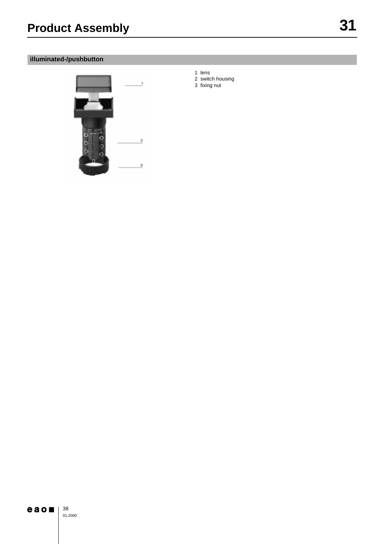## **illuminated-/pushbutton**



- 1 lens
- 2 switch housing
- 3 fixing nut

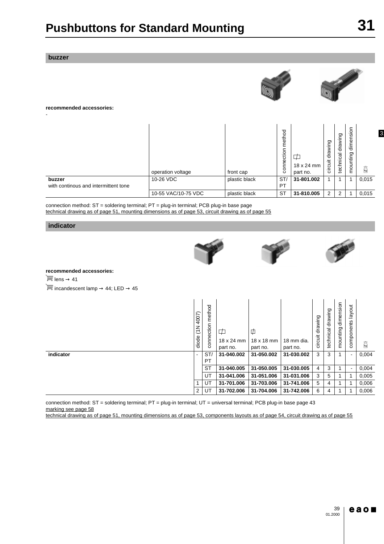#### **buzzer**

-





#### **recommended accessories:**

|                                      | operation voltage   | front cap     | method<br>connection | 18 x 24 mm<br>part no. | drawing<br>circuit | drawing<br>technical | $\overline{5}$<br>dimens<br>mounting | $\widetilde{k}$ g |
|--------------------------------------|---------------------|---------------|----------------------|------------------------|--------------------|----------------------|--------------------------------------|-------------------|
| buzzer                               | 10-26 VDC           | plastic black | ST/                  | 31-801.002             |                    |                      |                                      | 0,015             |
| with continous and intermittent tone |                     |               | <b>PT</b>            |                        |                    |                      |                                      |                   |
|                                      | 10-55 VAC/10-75 VDC | plastic black | <b>ST</b>            | 31-810.005             | $\overline{2}$     | റ                    |                                      | 0,015             |

connection method: ST = soldering terminal; PT = plug-in terminal; PCB plug-in base page technical drawing as of page 51, mounting dimensions as of page 53, circuit drawing as of page 55

#### **indicator**







**recommended accessories:**

 $\overline{\mathbb{Q}}$  lens  $\rightarrow$  41

 $\overline{\mathbb{H}}$  incandescent lamp  $\rightarrow$  44; LED  $\rightarrow$  45

|           | 4007)<br>z<br>こ<br>diode | method<br>connection | ⋢<br>$18 \times 24$ mm<br>part no. | 中<br>18 x 18 mm<br>part no. | 18 mm dia.<br>part no. | drawing<br>circuit | drawing<br>technical | dimension<br>mounting | layout<br>components     | 矞     |
|-----------|--------------------------|----------------------|------------------------------------|-----------------------------|------------------------|--------------------|----------------------|-----------------------|--------------------------|-------|
| indicator | $\overline{\phantom{a}}$ | ST/<br>PT            | 31-040.002                         | 31-050.002                  | 31-030.002             | 3                  | 3                    |                       | $\overline{\phantom{0}}$ | 0.004 |
|           |                          | <b>ST</b>            | 31-040.005                         | 31-050.005                  | 31-030.005             | 4                  | 3                    |                       | $\blacksquare$           | 0,004 |
|           |                          | UT                   | 31-041.006                         | 31-051.006                  | 31-031.006             | 3                  | 5                    |                       |                          | 0,005 |
|           |                          | UT                   | 31-701.006                         | 31-703.006                  | 31-741.006             | 5                  | 4                    |                       |                          | 0,006 |
|           | $\overline{2}$           | UT                   | 31-702.006                         | 31-704.006                  | 31-742.006             | 6                  | 4                    |                       |                          | 0,006 |

connection method: ST = soldering terminal; PT = plug-in terminal; UT = universal terminal; PCB plug-in base page 43 marking see page 58

technical drawing as of page 51, mounting dimensions as of page 53, components layouts as of page 54, circuit drawing as of page 55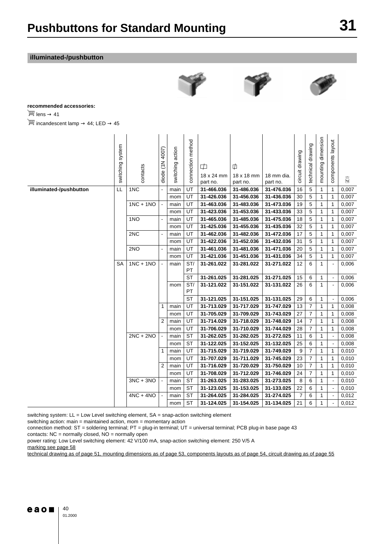### **illuminated-/pushbutton**





#### **recommended accessories:**

 $\overline{\mathbb{H}}$  lens  $\rightarrow$  41

 $\equiv$  incandescent lamp  $\rightarrow$  44; LED  $\rightarrow$  45

|                         | switching system | contacts    | diode (1N 4007)          | switching action | connection method | ⋢<br>18 x 24 mm<br>part no. | $\phi$<br>18 x 18 mm<br>part no. | 18 mm dia.<br>part no. | circuit drawing | technical drawing | mounting dimension | components layout        | $\widetilde{k\mathsf{g}}$ |
|-------------------------|------------------|-------------|--------------------------|------------------|-------------------|-----------------------------|----------------------------------|------------------------|-----------------|-------------------|--------------------|--------------------------|---------------------------|
| illuminated-/pushbutton | LL               | 1NC         |                          | main             | UT                | 31-466.036                  | 31-486.036                       | 31-476.036             | 16              | 5                 | $\mathbf{1}$       | 1                        | 0,007                     |
|                         |                  |             |                          | mom              | UT                | 31-426.036                  | 31-456.036                       | 31-436.036             | 30              | 5                 | $\mathbf{1}$       | 1                        | 0,007                     |
|                         |                  | $1NC + 1NO$ | $\mathbb{Z}$             | main             | UT                | 31-463.036                  | 31-483.036                       | 31-473.036             | 19              | 5                 | 1                  | 1                        | 0,007                     |
|                         |                  |             |                          | mom              | UT                | 31-423.036                  | 31-453.036                       | 31-433.036             | 33              | 5                 | 1                  | 1                        | 0,007                     |
|                         |                  | 1NO         | $\blacksquare$           | main             | UT                | 31-465.036                  | 31-485.036                       | 31-475.036             | 18              | 5                 | 1                  | 1                        | 0,007                     |
|                         |                  |             |                          | mom              | UT                | 31-425.036                  | 31-455.036                       | 31-435.036             | 32              | 5                 | 1                  | 1                        | 0,007                     |
|                         |                  | 2NC         | $\overline{\phantom{a}}$ | main             | UT                | 31-462.036                  | 31-482.036                       | 31-472.036             | 17              | 5                 | 1                  | 1                        | 0,007                     |
|                         |                  |             |                          | mom              | UT                | 31-422.036                  | 31-452.036                       | 31-432.036             | 31              | 5                 | 1                  | 1                        | 0,007                     |
|                         |                  | 2NO         | $\blacksquare$           | main             | UT                | 31-461.036                  | 31-481.036                       | 31-471.036             | 20              | 5                 | 1                  | 1                        | 0,007                     |
|                         |                  |             |                          | mom              | UT                | 31-421.036                  | 31-451.036                       | 31-431.036             | 34              | 5                 | 1                  | 1                        | 0,007                     |
|                         | <b>SA</b>        | $1NC + 1NO$ | $\sim$                   | main             | ST/<br>PT         | 31-261.022                  | 31-281.022                       | 31-271.022             | 12              | 6                 | 1                  | $\overline{a}$           | 0,006                     |
|                         |                  |             |                          |                  | <b>ST</b>         | 31-261.025                  | 31-281.025                       | 31-271.025             | 15              | 6                 | 1                  | $\overline{\phantom{a}}$ | 0,006                     |
|                         |                  |             |                          | mom              | ST/<br>PT         | 31-121.022                  | 31-151.022                       | 31-131.022             | 26              | 6                 | 1                  |                          | 0,006                     |
|                         |                  |             |                          |                  | <b>ST</b>         | 31-121.025                  | 31-151.025                       | 31-131.025             | 29              | 6                 | $\mathbf{1}$       |                          | 0,006                     |
|                         |                  |             | $\mathbf{1}$             | main             | UT                | 31-713.029                  | 31-717.029                       | 31-747.029             | 13              | $\overline{7}$    | $\mathbf{1}$       | $\mathbf{1}$             | 0,008                     |
|                         |                  |             |                          | mom              | UT                | 31-705.029                  | 31-709.029                       | 31-743.029             | 27              | $\overline{7}$    | $\mathbf{1}$       | $\mathbf{1}$             | 0,008                     |
|                         |                  |             | 2                        | main             | UT                | 31-714.029                  | 31-718.029                       | 31-748.029             | 14              | $\overline{7}$    | 1                  | 1                        | 0,008                     |
|                         |                  |             |                          | mom              | UT                | 31-706.029                  | 31-710.029                       | 31-744.029             | 28              | $\overline{7}$    | 1                  | 1                        | 0,008                     |
|                         |                  | $2NC + 2NO$ | $\Box$                   | main             | <b>ST</b>         | 31-262.025                  | 31-282.025                       | 31-272.025             | 11              | 6                 | 1                  |                          | 0,008                     |
|                         |                  |             |                          | mom              | <b>ST</b>         | 31-122.025                  | 31-152.025                       | 31-132.025             | 25              | 6                 | 1                  |                          | 0,008                     |
|                         |                  |             | 1                        | main             | UT                | 31-715.029                  | 31-719.029                       | 31-749.029             | 9               | $\overline{7}$    | 1                  | 1                        | 0,010                     |
|                         |                  |             |                          | mom              | UT                | 31-707.029                  | 31-711.029                       | 31-745.029             | 23              | $\overline{7}$    | 1                  | 1                        | 0,010                     |
|                         |                  |             | 2                        | main             | UT                | 31-716.029                  | 31-720.029                       | 31-750.029             | 10              | $\overline{7}$    | 1                  | 1                        | 0,010                     |
|                         |                  |             |                          | mom              | UT                | 31-708.029                  | 31-712.029                       | 31-746.029             | 24              | $\overline{7}$    | 1                  | 1                        | 0,010                     |
|                         |                  | $3NC + 3NO$ | $\mathbb{Z}^2$           | main             | <b>ST</b>         | 31-263.025                  | 31-283.025                       | 31-273.025             | 8               | 6                 | 1                  | $\overline{a}$           | 0,010                     |
|                         |                  |             |                          | mom              | <b>ST</b>         | 31-123.025                  | 31-153.025                       | 31-133.025             | 22              | 6                 | 1                  | $\blacksquare$           | 0,010                     |
|                         |                  | $4NC + 4NO$ | $\blacksquare$           | main             | <b>ST</b>         | 31-264.025                  | 31-284.025                       | 31-274.025             | $\overline{7}$  | 6                 | 1                  |                          | 0,012                     |
|                         |                  |             |                          | mom              | <b>ST</b>         | 31-124.025                  | 31-154.025                       | 31-134.025             | 21              | 6                 | 1                  |                          | 0,012                     |

switching system: LL = Low Level switching element, SA = snap-action switching element

switching action: main = maintained action, mom = momentary action

connection method: ST = soldering terminal; PT = plug-in terminal; UT = universal terminal; PCB plug-in base page 43

contacts:  $NC =$  normally closed,  $NO =$  normally open

power rating: Low Level switching element: 42 V/100 mA, snap-action switching element: 250 V/5 A

marking see page 58

technical drawing as of page 51, mounting dimensions as of page 53, components layouts as of page 54, circuit drawing as of page 55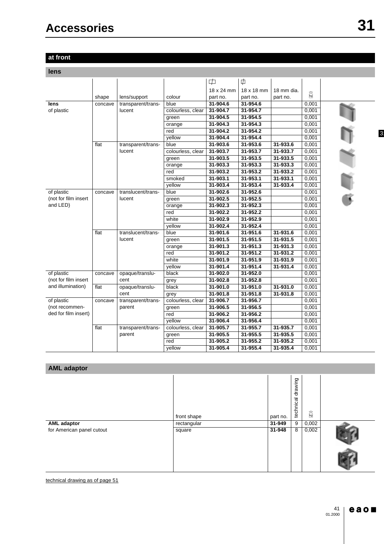## **at front**

**lens**

|                      |         |                    |                   | $\overline{\mathcal{L}}$ | $\phi$     |            |                           |  |
|----------------------|---------|--------------------|-------------------|--------------------------|------------|------------|---------------------------|--|
|                      |         |                    |                   | 18 x 24 mm               | 18 x 18 mm | 18 mm dia. |                           |  |
|                      | shape   | lens/support       | colour            | part no.                 | part no.   | part no.   | $\widetilde{k\mathsf{g}}$ |  |
| lens                 | concave | transparent/trans- | blue              | 31-904.6                 | 31-954.6   |            | 0,001                     |  |
| of plastic           |         | lucent             | colourless, clear | 31-904.7                 | 31-954.7   |            | 0,001                     |  |
|                      |         |                    | green             | 31-904.5                 | 31-954.5   |            | 0,001                     |  |
|                      |         |                    | orange            | 31-904.3                 | 31-954.3   |            | 0,001                     |  |
|                      |         |                    | red               | 31-904.2                 | 31-954.2   |            | 0,001                     |  |
|                      |         |                    | yellow            | 31-904.4                 | 31-954.4   |            | 0,001                     |  |
|                      | flat    | transparent/trans- | blue              | 31-903.6                 | 31-953.6   | 31-933.6   | 0,001                     |  |
|                      |         | lucent             | colourless, clear | 31-903.7                 | 31-953.7   | 31-933.7   | 0,001                     |  |
|                      |         |                    | green             | 31-903.5                 | 31-953.5   | 31-933.5   | 0,001                     |  |
|                      |         |                    | orange            | 31-903.3                 | 31-953.3   | 31-933.3   | 0,001                     |  |
|                      |         |                    | red               | 31-903.2                 | 31-953.2   | 31-933.2   | 0,001                     |  |
|                      |         |                    | smoked            | 31-903.1                 | 31-953.1   | 31-933.1   | 0,001                     |  |
|                      |         |                    | yellow            | 31-903.4                 | 31-953.4   | 31-933.4   | 0,001                     |  |
| of plastic           | concave | translucent/trans- | blue              | 31-902.6                 | 31-952.6   |            | 0,001                     |  |
| (not for film insert |         | lucent             | green             | 31-902.5                 | 31-952.5   |            | 0,001                     |  |
| and LED)             |         |                    | orange            | 31-902.3                 | 31-952.3   |            | 0,001                     |  |
|                      |         |                    | red               | 31-902.2                 | 31-952.2   |            | 0,001                     |  |
|                      |         |                    | white             | 31-902.9                 | 31-952.9   |            | 0,001                     |  |
|                      |         |                    | vellow            | 31-902.4                 | 31-952.4   |            | 0,001                     |  |
|                      | flat    | translucent/trans- | blue              | 31-901.6                 | 31-951.6   | 31-931.6   | 0,001                     |  |
|                      |         | lucent             | green             | 31-901.5                 | 31-951.5   | 31-931.5   | 0,001                     |  |
|                      |         |                    | orange            | 31-901.3                 | 31-951.3   | 31-931.3   | 0,001                     |  |
|                      |         |                    | red               | 31-901.2                 | 31-951.2   | 31-931.2   | 0,001                     |  |
|                      |         |                    | white             | 31-901.9                 | 31-951.9   | 31-931.9   | 0,001                     |  |
|                      |         |                    | vellow            | 31-901.4                 | 31-951.4   | 31-931.4   | 0,001                     |  |
| of plastic           | concave | opaque/translu-    | black             | 31-902.0                 | 31-952.0   |            | 0,001                     |  |
| (not for film insert |         | cent               | grey              | 31-902.8                 | 31-952.8   |            | 0,001                     |  |
| and illumination)    | flat    | opaque/translu-    | black             | 31-901.0                 | 31-951.0   | 31-931.0   | 0,001                     |  |
|                      |         | cent               | grey              | 31-901.8                 | 31-951.8   | 31-931.8   | 0,001                     |  |
| of plastic           | concave | transparent/trans- | colourless, clear | 31-906.7                 | 31-956.7   |            | 0,001                     |  |
| (not recommen-       |         | parent             | green             | 31-906.5                 | 31-956.5   |            | 0,001                     |  |
| ded for film insert) |         |                    | red               | 31-906.2                 | 31-956.2   |            | 0,001                     |  |
|                      |         |                    | yellow            | 31-906.4                 | 31-956.4   |            | 0,001                     |  |
|                      | flat    | transparent/trans- | colourless, clear | 31-905.7                 | 31-955.7   | 31-935.7   | 0,001                     |  |
|                      |         | parent             | green             | 31-905.5                 | 31-955.5   | 31-935.5   | 0,001                     |  |
|                      |         |                    | red               | 31-905.2                 | 31-955.2   | 31-935.2   | 0,001                     |  |
|                      |         |                    | yellow            | 31-905.4                 | 31-955.4   | 31-935.4   | 0,001                     |  |

| <b>AML</b> adaptor        |             |          |                      |                  |  |
|---------------------------|-------------|----------|----------------------|------------------|--|
|                           | front shape | part no. | drawing<br>technical | $\widetilde{kg}$ |  |
| <b>AML</b> adaptor        | rectangular | 31-949   | 9                    | 0,002            |  |
| for American panel cutout | square      | 31-948   | 8                    | 0,002            |  |
|                           |             |          |                      |                  |  |

technical drawing as of page 51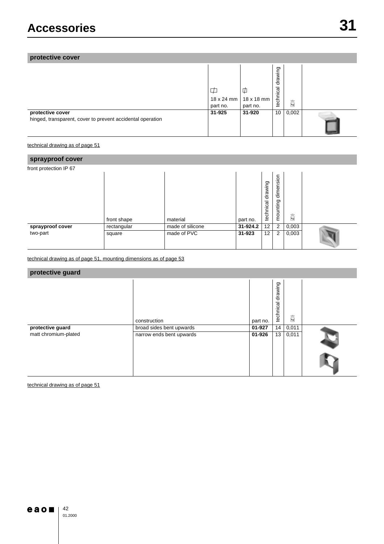## **protective cover**

|                                                                                | ⋣<br>18 x 24 mm<br>part no. | 17<br>18 x 18 mm<br>part no. | drawing<br>ॡ<br>techni | 矞     |  |
|--------------------------------------------------------------------------------|-----------------------------|------------------------------|------------------------|-------|--|
| protective cover<br>hinged, transparent, cover to prevent accidental operation | 31-925                      | 31-920                       | 10                     | 0,002 |  |

technical drawing as of page 51

| sprayproof cover       |             |                  |          |                   |                       |       |  |  |  |
|------------------------|-------------|------------------|----------|-------------------|-----------------------|-------|--|--|--|
| front protection IP 67 |             |                  |          |                   |                       |       |  |  |  |
|                        | front shape | material         | part no. | technical drawing | dimension<br>mounting | 矞     |  |  |  |
| sprayproof cover       | rectangular | made of silicone | 31-924.2 | 12                | 2                     | 0,003 |  |  |  |
| two-part               | square      | made of PVC      | 31-923   | 12                | $\overline{2}$        | 0,003 |  |  |  |

technical drawing as of page 51, mounting dimensions as of page 53

## **protective guard**

|                      |                          |          | drawing<br>technical |                   |  |
|----------------------|--------------------------|----------|----------------------|-------------------|--|
|                      | construction             | part no. |                      | $\widetilde{k_0}$ |  |
| protective guard     | broad sides bent upwards | 01-927   | 14 <sub>1</sub>      | 0,011             |  |
| matt chromium-plated | narrow ends bent upwards | 01-926   | 13                   | 0,011             |  |
|                      |                          |          |                      |                   |  |

technical drawing as of page 51

## $e$ aoni

42 01.2000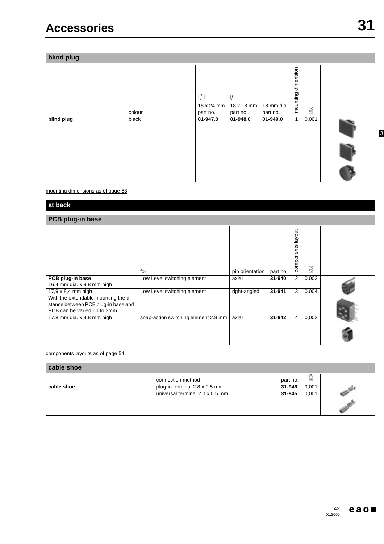**blind plug**

|            | colour | $\overline{\Box}$<br>18 x 24 mm<br>part no. | Ф<br>18 x 18 mm<br>part no. | 18 mm dia.<br>part no. | dimension<br>mounting | $\widetilde{k\mathsf{g}}$ |                |
|------------|--------|---------------------------------------------|-----------------------------|------------------------|-----------------------|---------------------------|----------------|
| blind plug | black  | 01-947.0                                    | 01-948.0                    | 01-949.0               | $\mathbf{1}$          | 0,001                     | $\overline{3}$ |
|            |        |                                             |                             |                        |                       |                           |                |
|            |        |                                             |                             |                        |                       |                           |                |

mounting dimensions as of page 53

**at back**

## **PCB plug-in base**

|                                      | for                                  | pin orientation | part no. | $\overline{5}$<br>layo<br>components | $\widetilde{k\mathsf{g}}$ |  |
|--------------------------------------|--------------------------------------|-----------------|----------|--------------------------------------|---------------------------|--|
| PCB plug-in base                     | Low Level switching element          | axial           | 31-940   | 2                                    | 0,002                     |  |
| 16.4 mm dia. x 9.8 mm high           |                                      |                 |          |                                      |                           |  |
| $17,9 \times 8,4$ mm high            | Low Level switching element          | right-angled    | 31-941   | 3                                    | 0,004                     |  |
| With the extendable mounting the di- |                                      |                 |          |                                      |                           |  |
| stance between PCB plug-in base and  |                                      |                 |          |                                      |                           |  |
| PCB can be varied up to 3mm.         |                                      |                 |          |                                      |                           |  |
| 17.8 mm dia. x 9.8 mm high           | snap-action switching element 2.8 mm | axial           | 31-942   | $\overline{4}$                       | 0,002                     |  |
|                                      |                                      |                 |          |                                      |                           |  |

### components layouts as of page 54

## **cable shoe**

|            | connection method               | part no. | $\overline{kg}$ |  |
|------------|---------------------------------|----------|-----------------|--|
| cable shoe | plug-in terminal 2.8 x 0.5 mm   | 31-946   | 0,001           |  |
|            | universal terminal 2.0 x 0.5 mm | 31-945   | 0.001           |  |
|            |                                 |          |                 |  |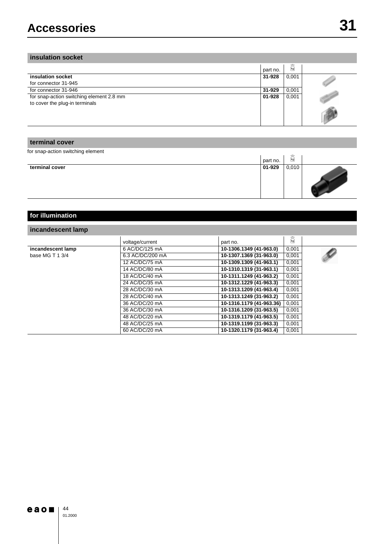## **insulation socket**

|                                          | part no. | $\widetilde{k\mathsf{g}}$ |  |
|------------------------------------------|----------|---------------------------|--|
| insulation socket                        | 31-928   | 0,001                     |  |
| for connector 31-945                     |          |                           |  |
| for connector 31-946                     | 31-929   | 0,001                     |  |
| for snap-action switching element 2.8 mm | 01-928   | 0,001                     |  |
| to cover the plug-in terminals           |          |                           |  |
|                                          |          |                           |  |

### **terminal cover**

for snap-action switching element

| $\tilde{\phantom{a}}$ | part no. | $\Rightarrow$<br>$\mathbf{kg}$ |  |
|-----------------------|----------|--------------------------------|--|
| terminal cover        | 01-929   | 0,010                          |  |

| for illumination  |                  |                          |       |  |
|-------------------|------------------|--------------------------|-------|--|
| incandescent lamp |                  |                          |       |  |
|                   | voltage/current  | part no.                 | 矞     |  |
| incandescent lamp | 6 AC/DC/125 mA   | 10-1306.1349 (41-963.0)  | 0,001 |  |
| base MG T 1 3/4   | 6.3 AC/DC/200 mA | 10-1307.1369 (31-963.0)  | 0,001 |  |
|                   | 12 AC/DC/75 mA   | 10-1309.1309 (41-963.1)  | 0,001 |  |
|                   | 14 AC/DC/80 mA   | 10-1310.1319 (31-963.1)  | 0,001 |  |
|                   | 18 AC/DC/40 mA   | 10-1311.1249 (41-963.2)  | 0,001 |  |
|                   | 24 AC/DC/35 mA   | 10-1312.1229 (41-963.3)  | 0,001 |  |
|                   | 28 AC/DC/30 mA   | 10-1313.1209 (41-963.4)  | 0,001 |  |
|                   | 28 AC/DC/40 mA   | 10-1313.1249 (31-963.2)  | 0,001 |  |
|                   | 36 AC/DC/20 mA   | 10-1316.1179 (41-963.36) | 0,001 |  |
|                   | 36 AC/DC/30 mA   | 10-1316.1209 (31-963.5)  | 0,001 |  |
|                   | 48 AC/DC/20 mA   | 10-1319.1179 (41-963.5)  | 0,001 |  |
|                   | 48 AC/DC/25 mA   | 10-1319.1199 (31-963.3)  | 0,001 |  |
|                   | 60 AC/DC/20 mA   | 10-1320.1179 (31-963.4)  | 0,001 |  |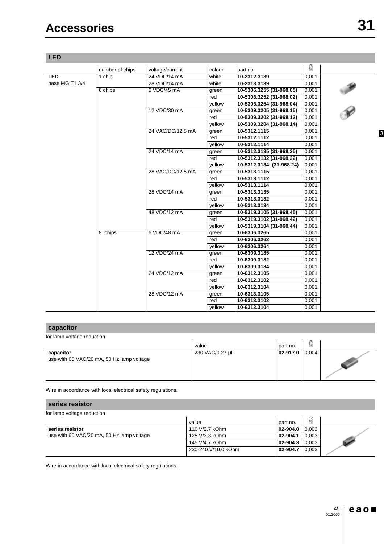| <b>LED</b>     |                 |                   |        |                           |                           |  |
|----------------|-----------------|-------------------|--------|---------------------------|---------------------------|--|
|                | number of chips | voltage/current   | colour | part no.                  | $\widetilde{k\mathsf{g}}$ |  |
| <b>LED</b>     | 1 chip          | 24 VDC/14 mA      | white  | 10-2312.3139              | 0,001                     |  |
| base MG T1 3/4 |                 | 28 VDC/14 mA      | white  | 10-2313.3139              | 0,001                     |  |
|                | 6 chips         | 6 VDC/45 mA       | green  | 10-5306.3255 (31-968.05)  | 0,001                     |  |
|                |                 |                   | red    | 10-5306.3252 (31-968.02)  | 0,001                     |  |
|                |                 |                   | yellow | 10-5306.3254 (31-968.04)  | 0,001                     |  |
|                |                 | 12 VDC/30 mA      | green  | 10-5309.3205 (31-968.15)  | 0,001                     |  |
|                |                 |                   | red    | 10-5309.3202 (31-968.12)  | 0,001                     |  |
|                |                 |                   | yellow | 10-5309.3204 (31-968.14)  | 0,001                     |  |
|                |                 | 24 VAC/DC/12.5 mA | green  | 10-5312.1115              | 0,001                     |  |
|                |                 |                   | red    | 10-5312.1112              | 0,001                     |  |
|                |                 |                   | yellow | 10-5312.1114              | 0,001                     |  |
|                |                 | 24 VDC/14 mA      | green  | 10-5312.3135 (31-968.25)  | 0,001                     |  |
|                |                 |                   | red    | 10-5312.3132 (31-968.22)  | 0,001                     |  |
|                |                 |                   | vellow | 10-5312.3134. (31-968.24) | 0,001                     |  |
|                |                 | 28 VAC/DC/12.5 mA | green  | 10-5313.1115              | 0,001                     |  |
|                |                 |                   | red    | 10-5313.1112              | 0,001                     |  |
|                |                 |                   | yellow | 10-5313.1114              | 0,001                     |  |
|                |                 | 28 VDC/14 mA      | green  | 10-5313.3135              | 0,001                     |  |
|                |                 |                   | red    | 10-5313.3132              | 0,001                     |  |
|                |                 |                   | yellow | 10-5313.3134              | 0,001                     |  |
|                |                 | 48 VDC/12 mA      | green  | 10-5319.3105 (31-968.45)  | 0,001                     |  |
|                |                 |                   | red    | 10-5319.3102 (31-968.42)  | 0,001                     |  |
|                |                 |                   | yellow | 10-5319.3104 (31-968.44)  | 0,001                     |  |
|                | 8 chips         | 6 VDC/48 mA       | green  | 10-6306.3265              | 0,001                     |  |
|                |                 |                   | red    | 10-6306.3262              | 0,001                     |  |
|                |                 |                   | yellow | 10-6306.3264              | 0,001                     |  |
|                |                 | 12 VDC/24 mA      | green  | 10-6309.3185              | 0,001                     |  |
|                |                 |                   | red    | 10-6309.3182              | 0,001                     |  |
|                |                 |                   | yellow | 10-6309.3184              | 0,001                     |  |
|                |                 | 24 VDC/12 mA      | green  | 10-6312.3105              | 0,001                     |  |
|                |                 |                   | red    | 10-6312.3102              | 0,001                     |  |
|                |                 |                   | vellow | 10-6312.3104              | 0,001                     |  |
|                |                 | 28 VDC/12 mA      | green  | 10-6313.3105              | 0,001                     |  |
|                |                 |                   | red    | 10-6313.3102              | 0,001                     |  |
|                |                 |                   | yellow | 10-6313.3104              | 0,001                     |  |

## **capacitor**

| for lamp voltage reduction                             |                 |          |              |  |
|--------------------------------------------------------|-----------------|----------|--------------|--|
|                                                        | value           | part no. | $\boxed{kg}$ |  |
| capacitor<br>use with 60 VAC/20 mA, 50 Hz lamp voltage | 230 VAC/0.27 µF | 02-917.0 | 0,004        |  |

Wire in accordance with local electrical safety regulations.

#### **series resistor**

| for lamp voltage reduction                |                     |              |       |  |
|-------------------------------------------|---------------------|--------------|-------|--|
|                                           | value               | part no.     | kg    |  |
| series resistor                           | 110 V/2.7 kOhm      | $02 - 904.0$ | 0.003 |  |
| use with 60 VAC/20 mA, 50 Hz lamp voltage | 125 V/3.3 kOhm      | 02-904.1     | 0.003 |  |
|                                           | 145 V/4.7 kOhm      | 02-904.3     | 0.003 |  |
|                                           | 230-240 V/10.0 kOhm | 02-904.7     | 0.003 |  |
|                                           |                     |              |       |  |

Wire in accordance with local electrical safety regulations.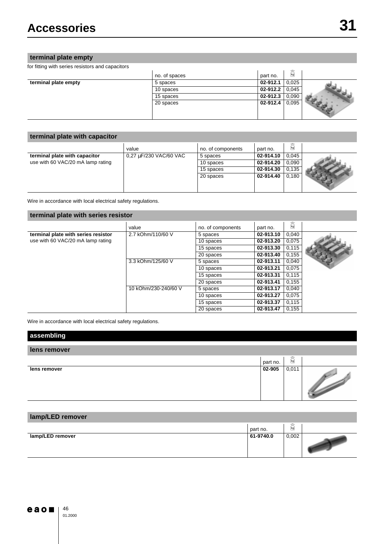## **terminal plate empty**

for fitting with series resistors and capacitors

| .                    |               |          |                           |  |
|----------------------|---------------|----------|---------------------------|--|
|                      | no. of spaces | part no. | $\widetilde{k\mathsf{g}}$ |  |
| terminal plate empty | 5 spaces      | 02-912.1 | 0,025                     |  |
|                      | 10 spaces     | 02-912.2 | 0,045                     |  |
|                      | 15 spaces     | 02-912.3 | 0,090                     |  |
|                      | 20 spaces     | 02-912.4 | 0,095                     |  |

## **terminal plate with capacitor**

|                                   | value                  | no. of components | part no.  | 奣     |  |
|-----------------------------------|------------------------|-------------------|-----------|-------|--|
| terminal plate with capacitor     | 0,27 µF/230 VAC/60 VAC | 5 spaces          | 02-914.10 | 0.045 |  |
| use with 60 VAC/20 mA lamp rating |                        | 10 spaces         | 02-914.20 | 0.090 |  |
|                                   |                        | 15 spaces         | 02-914.30 | 0.135 |  |
|                                   |                        | 20 spaces         | 02-914.40 | 0.180 |  |

Wire in accordance with local electrical safety regulations.

### **terminal plate with series resistor**

|                                     | value                | no. of components | part no.  | 矞     |  |
|-------------------------------------|----------------------|-------------------|-----------|-------|--|
| terminal plate with series resistor | 2.7 kOhm/110/60 V    | 5 spaces          | 02-913.10 | 0,040 |  |
| use with 60 VAC/20 mA lamp rating   |                      | 10 spaces         | 02-913.20 | 0,075 |  |
|                                     |                      | 15 spaces         | 02-913.30 | 0,115 |  |
|                                     |                      | 20 spaces         | 02-913.40 | 0.155 |  |
|                                     | 3.3 kOhm/125/60 V    | 5 spaces          | 02-913.11 | 0,040 |  |
|                                     |                      | 10 spaces         | 02-913.21 | 0,075 |  |
|                                     |                      | 15 spaces         | 02-913.31 | 0,115 |  |
|                                     |                      | 20 spaces         | 02-913.41 | 0.155 |  |
|                                     | 10 kOhm/230-240/60 V | 5 spaces          | 02-913.17 | 0.040 |  |
|                                     |                      | 10 spaces         | 02-913.27 | 0.075 |  |
|                                     |                      | 15 spaces         | 02-913.37 | 0.115 |  |
|                                     |                      | 20 spaces         | 02-913.47 | 0.155 |  |

Wire in accordance with local electrical safety regulations.

| assembling   |          |       |                                                             |
|--------------|----------|-------|-------------------------------------------------------------|
| lens remover |          |       |                                                             |
|              | part no. | 矞     |                                                             |
| lens remover | 02-905   | 0,011 | <b>Support of the Company's Company's Company's Service</b> |

## **lamp/LED remover**

|                  | part no.  | $\Rightarrow$<br>kg |  |
|------------------|-----------|---------------------|--|
| lamp/LED remover | 61-9740.0 | 0,002               |  |

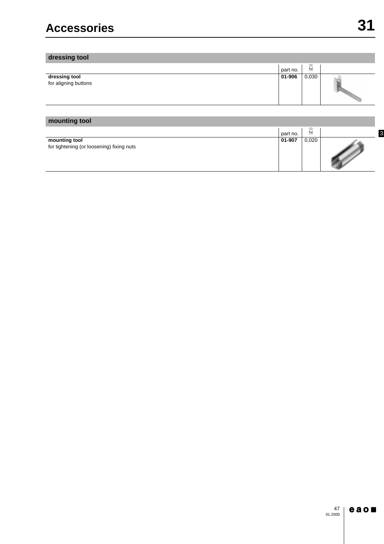| dressing tool                         |          |                   |  |
|---------------------------------------|----------|-------------------|--|
|                                       | part no. | P<br>$\boxed{kg}$ |  |
| dressing tool<br>for aligning buttons | 01-906   | 0,030             |  |

## **mounting tool**

|                                                            | part no. | G<br>kg |  |
|------------------------------------------------------------|----------|---------|--|
| mounting tool<br>for tightening (or loosening) fixing nuts | 01-907   | 0,020   |  |

#### $e$  a o 47 01.2000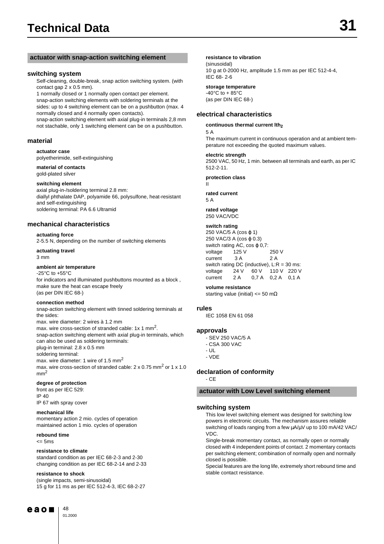#### **actuator with snap-action switching element resistance to vibration**

#### **switching system**

Self-cleaning, double-break, snap action switching system. (with contact gap 2 x 0.5 mm).

1 normally closed or 1 normally open contact per element. snap-action switching elements with soldering terminals at the sides: up to 4 switching element can be on a pushbutton (max. 4 normally closed and 4 normally open contacts).

snap-action switching element with axial plug-in terminals 2,8 mm not stachable, only 1 switching element can be on a pushbutton.

#### **material**

**actuator case**

polyetherimide, self-extinguishing

#### **material of contacts** gold-plated silver

#### **switching element**

axial plug-in-/soldering terminal 2.8 mm: diallyl phthalate DAP, polyamide 66, polysulfone, heat-resistant and self-extinguishing soldering terminal: PA 6.6 Ultramid

### **mechanical characteristics**

#### **actuating force**

2-5.5 N, depending on the number of switching elements

#### **actuating travel**

3 mm

#### **ambient air temperature**

-25°C to +55°C for indicators and illuminated pushbuttons mounted as a block , make sure the heat can escape freely (as per DIN IEC 68-)

#### **connection method**

snap-action switching element with tinned soldering terminals at the sides:

max. wire diameter: 2 wires à 1.2 mm max. wire cross-section of stranded cable: 1x 1 mm<sup>2</sup>.

snap-action switching element with axial plug-in terminals, which can also be used as soldering terminals:

plug-in terminal: 2.8 x 0.5 mm

soldering terminal: max. wire diameter: 1 wire of 1.5 mm<sup>2</sup>

max. wire cross-section of stranded cable: 2 x 0.75 mm<sup>2</sup> or 1 x 1.0  $mm<sup>2</sup>$ 

#### **degree of protection**

front as per IEC 529: IP 40 IP 67 with spray cover

#### **mechanical life**

momentary action 2 mio. cycles of operation maintained action 1 mio. cycles of operation

### **rebound time**

 $\leq$  5ms

#### **resistance to climate**

standard condition as per IEC 68-2-3 and 2-30 changing condition as per IEC 68-2-14 and 2-33

#### **resistance to shock**

(single impacts, semi-sinusoidal) 15 g for 11 ms as per IEC 512-4-3, IEC 68-2-27



(sinusoidal) 10 g at 0-2000 Hz, amplitude 1.5 mm as per IEC 512-4-4, IEC 68- 2-6

#### **storage temperature**

-40 $^{\circ}$ C to + 85 $^{\circ}$ C (as per DIN IEC 68-)

#### **electrical characteristics**

#### continuous thermal current lth<sub>2</sub>

The maximum current in continuous operation and at ambient temperature not exceeding the quoted maximum values.

#### **electric strength**

2500 VAC, 50 Hz, 1 min. between all terminals and earth, as per IC 512-2-11.

#### **protection class**

II

5 A

**rated current** 5 A

**rated voltage** 250 VAC/VDC

#### **switch rating**

250 VAC/5 A (cos φ 1) 250 VAC/3 A (cos φ 0.3) switch rating AC,  $\cos \varphi$  0.7: voltage 125 V 250 V current 3 A 2 A switch rating DC (inductive), L:R = 30 ms: voltage 24 V 60 V 110 V 220 V current 2 A 0,7 A 0,2 A 0,1 A

#### **volume resistance**

starting value (initial) <= 50 m $\Omega$ 

#### **rules**

IEC 1058 EN 61 058

#### **approvals**

- SEV 250 VAC/5 A
- CSA 300 VAC
- UL
- VDE

#### **declaration of conformity**

- CE

#### **actuator with Low Level switching element**

#### **switching system**

This low level switching element was designed for switching low powers in electronic circuits. The mechanism assures reliable switching of loads ranging from a few  $\mu$ A/ $\mu$ V up to 100 mA/42 VAC/ VDC.

Single-break momentary contact, as normally open or normally closed with 4 independent points of contact. 2 momentary contacts per switching element; combination of normally open and normally closed is possible.

Special features are the long life, extremely short rebound time and stable contact resistance.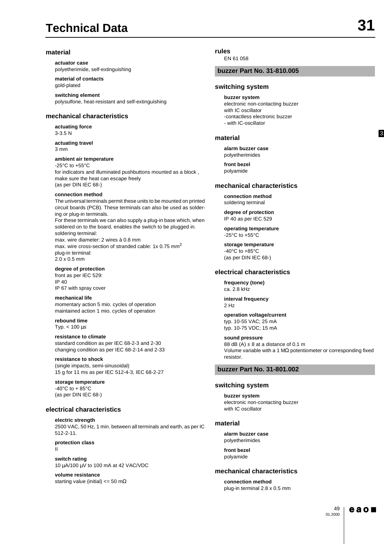## **Technical Data**

#### **material**

**actuator case** polyetherimide, self-extinguishing

**material of contacts** gold-plated

**switching element** polysulfone, heat-resistant and self-extinguishing

#### **mechanical characteristics**

**actuating force** 3-3.5 N

**actuating travel** 3 mm

**ambient air temperature** -25°C to +55°C for indicators and illuminated pushbuttons mounted as a block , make sure the heat can escape freely (as per DIN IEC 68-)

#### **connection method**

The universal terminals permit these units to be mounted on printed circuit boards (PCB). These terminals can also be used as soldering or plug-in terminals. For these terminals we can also supply a plug-in base which, when soldered on to the board, enables the switch to be plugged in. soldering terminal: max. wire diameter: 2 wires à 0.8 mm max. wire cross-section of stranded cable: 1x 0.75 mm<sup>2</sup> plug-in terminal: 2.0 x 0.5 mm

**degree of protection** front as per IEC 529: IP 40 IP 67 with spray cover

**mechanical life** momentary action 5 mio. cycles of operation maintained action 1 mio. cycles of operation

**rebound time** Typ.  $< 100 \mu s$ 

**resistance to climate**

standard condition as per IEC 68-2-3 and 2-30 changing condition as per IEC 68-2-14 and 2-33

**resistance to shock** (single impacts, semi-sinusoidal) 15 g for 11 ms as per IEC 512-4-3, IEC 68-2-27

#### **storage temperature**

 $-40^{\circ}$ C to  $+85^{\circ}$ C (as per DIN IEC 68-)

#### **electrical characteristics**

**electric strength** 2500 VAC, 50 Hz, 1 min. between all terminals and earth, as per IC 512-2-11.

**protection class** II

**switch rating** 10 µA/100 µV to 100 mA at 42 VAC/VDC

**volume resistance** starting value (initial)  $<= 50 \text{ m}\Omega$ 

#### **rules**

EN 61 058

#### **buzzer Part No. 31-810.005**

#### **switching system**

**buzzer system** electronic non-contacting buzzer with IC oscillator -contactless electronic buzzer - with IC-oscillator

#### **material**

**alarm buzzer case** polyetherimides

**front bezel** polyamide

#### **mechanical characteristics**

**connection method** soldering terminal

**degree of protection** IP 40 as per IEC 529

**operating temperature** -25°C to +55°C

**storage temperature** -40°C to +85°C (as per DIN IEC 68-)

#### **electrical characteristics**

**frequency (tone)** ca. 2.8 kHz

**interval frequency** 2 Hz

**operation voltage/current** typ. 10-55 VAC; 25 mA typ. 10-75 VDC; 15 mA

#### **sound pressure**

88 dB  $(A) \pm 8$  at a distance of 0.1 m Volume variable with a 1 MΩ potentiometer or corresponding fixed resistor.

### **buzzer Part No. 31-801.002**

#### **switching system**

**buzzer system** electronic non-contacting buzzer with IC oscillator

#### **material**

**alarm buzzer case** polyetherimides

**front bezel** polyamide

#### **mechanical characteristics**

**connection method** plug-in terminal 2.8 x 0.5 mm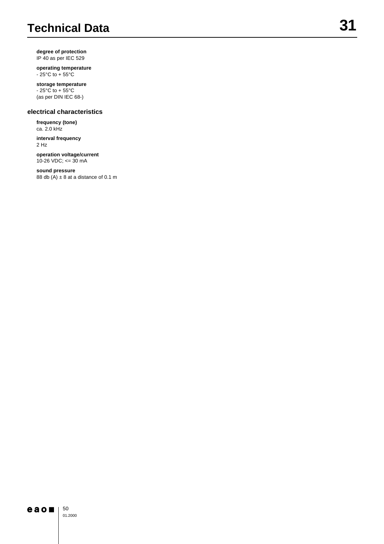## **Technical Data**

**degree of protection** IP 40 as per IEC 529

**operating temperature**  $-25^{\circ}$ C to + 55 $^{\circ}$ C

## **storage temperature**

 $-25^{\circ}$ C to  $+55^{\circ}$ C (as per DIN IEC 68-)

### **electrical characteristics**

**frequency (tone)** ca. 2.0 kHz

**interval frequency** 2 Hz

**operation voltage/current** 10-26 VDC; <= 30 mA

## **sound pressure**

88 db  $(A) \pm 8$  at a distance of 0.1 m

#### 50  $e$ ao $\blacksquare$

01.2000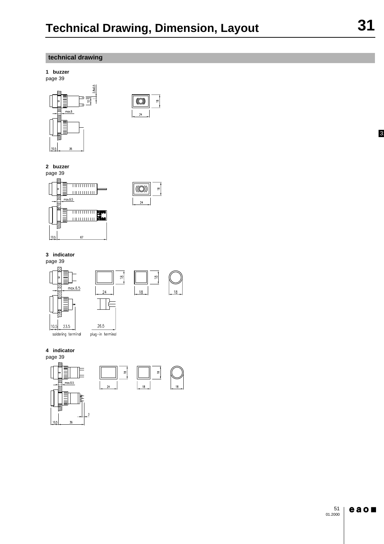$\approx$ 

 $(\circledS)$ 

 $24$ 

 $\left| \mathbf{e} \right|$ 

## **technical drawing**

**1 buzzer**



## **2 buzzer**

page 39





## **3 indicator**

page 39



## **4 indicator**

page 39

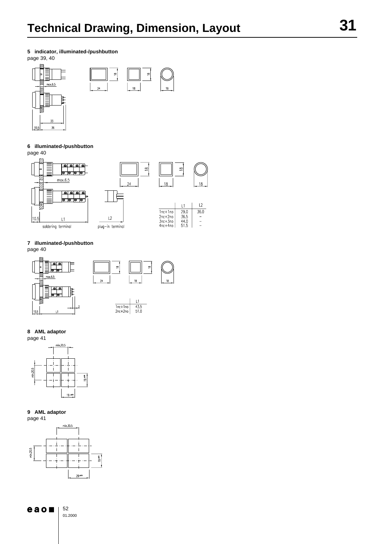**5 indicator, illuminated-/pushbutton**

page 39, 40



#### **6 illuminated-/pushbutton** page 40



### **7 illuminated-/pushbutton**

page 40



### **8 AML adaptor**



### **9 AML adaptor**



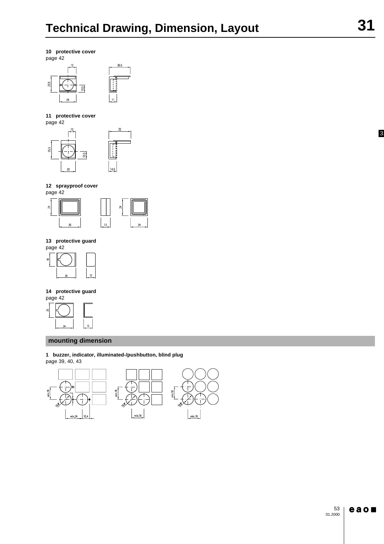

23.5



## **11 protective cover**



**12 sprayproof cover**



#### **13 protective guard** page 42



## **14 protective guard**



## **mounting dimension**

**1 buzzer, indicator, illuminated-/pushbutton, blind plug** page 39, 40, 43

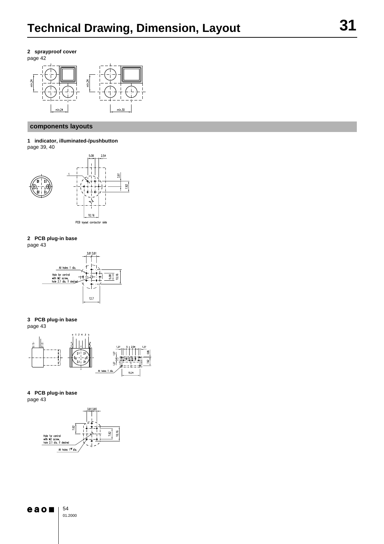



## **components layouts**

**1 indicator, illuminated-/pushbutton** page 39, 40



**2 PCB plug-in base** page 43



**3 PCB plug-in base** page 43



## **4 PCB plug-in base**

page 43



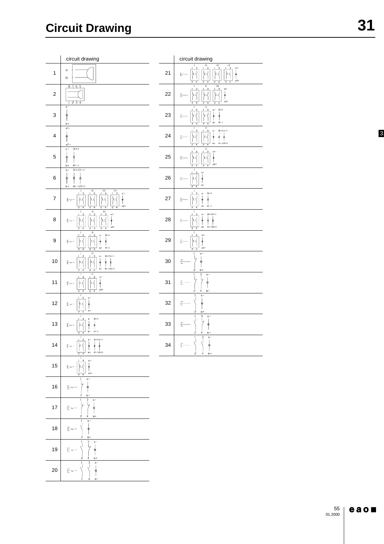|                         | circuit drawing                                                                                                                                                                                                                                |    | circuit drawing                                                                                                                                                                                                                                                                                                                                                                                                                                                            |
|-------------------------|------------------------------------------------------------------------------------------------------------------------------------------------------------------------------------------------------------------------------------------------|----|----------------------------------------------------------------------------------------------------------------------------------------------------------------------------------------------------------------------------------------------------------------------------------------------------------------------------------------------------------------------------------------------------------------------------------------------------------------------------|
| $\mathbf{1}$            | $\alpha$<br>b                                                                                                                                                                                                                                  | 21 | $\frac{1}{3}$<br>$\frac{1}{3}$<br>П<br>$\times 1-$<br>$\frac{1}{3}$<br>ł<br>Ą<br>E-<br>$x^2$<br>P                                                                                                                                                                                                                                                                                                                                                                          |
| $\boldsymbol{2}$        | 8765<br>1234                                                                                                                                                                                                                                   | 22 | $\mathbf{III}$<br>П<br>$\times 1$<br>E--<br>×2+<br>7<br>$\overline{2}$<br>2                                                                                                                                                                                                                                                                                                                                                                                                |
| 3                       | $\alpha -$<br>φ<br>$b +$                                                                                                                                                                                                                       | 23 | $\mathbf{II}% =\mathbf{I}^{T}\mathbf{I}^{T}\mathbf{I}^{T}\mathbf{I}^{T}\mathbf{I}^{T}\mathbf{I}^{T}\mathbf{I}^{T}\mathbf{I}^{T}\mathbf{I}^{T}\mathbf{I}^{T}\mathbf{I}^{T}\mathbf{I}^{T}\mathbf{I}^{T}\mathbf{I}^{T}\mathbf{I}^{T}\mathbf{I}^{T}\mathbf{I}^{T}\mathbf{I}^{T}\mathbf{I}^{T}\mathbf{I}^{T}\mathbf{I}^{T}\mathbf{I}^{T}\mathbf{I}^{T}\mathbf{I}^{T}\mathbf{I}^{T}\mathbf{I}^{T}\mathbf{I$<br>I<br>$3(*)$<br>$\alpha -$<br>↡<br>E--<br>9<br>$b+$<br>$4(-)$<br>7 |
| 4                       | $\times1-$<br>↟<br>$\times$ 2+                                                                                                                                                                                                                 | 24 | I<br>н<br>$3(+)1(-)$<br>$\frac{1}{1}$<br>E<br>ŧ<br>$4(-)2(+)$<br>lo+                                                                                                                                                                                                                                                                                                                                                                                                       |
| 5                       | $3(+)$<br>$\alpha -$<br>φ<br>ّ<br>$4(-)$<br>$b+$                                                                                                                                                                                               | 25 | $\mathbf{H}$<br>1<br>$\times 1-$<br>$E-$<br>$x^2$<br>4<br>$\overline{z}$<br>4<br>2                                                                                                                                                                                                                                                                                                                                                                                         |
| 6                       | $\alpha -$<br>$3(+)1(-)$<br>↟<br>ِّ ≉<br>↟<br>$b+$<br>$4(-)2(+)$                                                                                                                                                                               | 26 | E-<br>b+<br>2<br>$\overline{A}$                                                                                                                                                                                                                                                                                                                                                                                                                                            |
| $\overline{\mathbf{7}}$ | $\mathbf{III}$<br>$\frac{1}{3}$<br>П<br>×1-<br>E∼<br>$x^2$ +                                                                                                                                                                                   | 27 | $\mathbf I$<br>$3(+)$<br>$\alpha-$<br>E--<br>⇟<br>$4(-)$<br>$b+$                                                                                                                                                                                                                                                                                                                                                                                                           |
| 8                       | $\boldsymbol{\mathrm{H}}%$<br>щ<br>×١٠<br>$E -$<br>$x^2$<br>2<br>4                                                                                                                                                                             | 28 | 1<br>$3(+)$ $(-)$<br>$\alpha$ -<br>∤<br>E-<br>↟<br><u> ព្</u><br>$b+$<br>$4(-)2(+)$                                                                                                                                                                                                                                                                                                                                                                                        |
| $\boldsymbol{9}$        | П<br>$3(+)$<br>$\mathbf{a}-$<br>$E\sim$<br>$4(-)$<br>b+<br>4<br>2                                                                                                                                                                              | 29 | $\times 1-$<br>E-<br>×2+<br>2                                                                                                                                                                                                                                                                                                                                                                                                                                              |
| 10                      | $\mathbf{H}$<br>$3(+)1(-)$<br>$\alpha$ -<br>E∼<br>↟<br>Ť<br>$4(-)2(+)$<br>$b+$<br>$\overline{4}$<br>4<br>s                                                                                                                                     | 30 | ۵٠<br>E-<br>$b+$<br>2                                                                                                                                                                                                                                                                                                                                                                                                                                                      |
| 11                      | n<br>×l-<br>E∼<br>Î<br>x2                                                                                                                                                                                                                      | 31 | $\mathbf{1}$<br>3<br>$\alpha$ -<br>Ļ<br>E<br>φ<br>$b +$<br>4<br>2                                                                                                                                                                                                                                                                                                                                                                                                          |
| 12                      | $E\sim$<br>$b +$                                                                                                                                                                                                                               | 32 | 1<br>$\alpha -$<br>$E-$<br>Φ<br>$b +$                                                                                                                                                                                                                                                                                                                                                                                                                                      |
| 13                      | $3(+)$<br>$\alpha$ -<br>$E -$<br>ٌّ<br>¢<br>$b+$<br>$4(-)$<br>7<br>5                                                                                                                                                                           | 33 | 3<br>$\alpha -$<br>$E^{---}$<br>φ<br>2<br>4<br>$b +$                                                                                                                                                                                                                                                                                                                                                                                                                       |
| 14                      | $a = -3(+)1(-)$<br>$\overline{\mathbf{3}}$<br>$\overline{\phantom{a}}$<br>-L J I<br>$\mathbf{I}$<br>$E\sim$<br>$\begin{array}{c}\n\frac{1}{2} & \frac{1}{2} \\ 4 & \frac{1}{2}(1) \\ \frac{1}{2}(1) & \frac{1}{2}(1)\n\end{array}$<br> <br> 0+ | 34 | $\,$ 1 $\,$<br>3<br>$\alpha$ -<br>J<br>V,<br>E<br>5<br>$b+$<br>4                                                                                                                                                                                                                                                                                                                                                                                                           |
| 15                      | ×1-<br>$\mathsf{E}\! \sim$<br>×2                                                                                                                                                                                                               |    |                                                                                                                                                                                                                                                                                                                                                                                                                                                                            |
| 16                      | a<br>E                                                                                                                                                                                                                                         |    |                                                                                                                                                                                                                                                                                                                                                                                                                                                                            |
| 17                      | $\alpha -$<br>$E$ -<br>$b+$                                                                                                                                                                                                                    |    |                                                                                                                                                                                                                                                                                                                                                                                                                                                                            |
| 18                      | ۵-<br>$E\sim$<br>b+                                                                                                                                                                                                                            |    |                                                                                                                                                                                                                                                                                                                                                                                                                                                                            |
| 19                      | 3<br>$\alpha -$<br>E                                                                                                                                                                                                                           |    |                                                                                                                                                                                                                                                                                                                                                                                                                                                                            |
| 20                      | з<br>$E_{\gamma}$                                                                                                                                                                                                                              |    |                                                                                                                                                                                                                                                                                                                                                                                                                                                                            |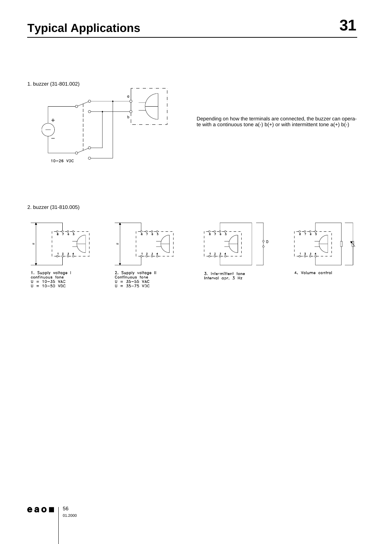1. buzzer (31-801.002)



Depending on how the terminals are connected, the buzzer can operate with a continuous tone  $a(-)$  b( $+)$  or with intermittent tone  $a(+)$  b( $-)$ 

#### 2. buzzer (31-810.005)



1. Supply voltage I<br>continuous tone<br>U = 10-35 VAC<br>U = 10-50 VDC



2. Supply voltage II<br>Continuous tone<br>U = 35—55 VAC<br>U = 35—75 VDC



3. Intermittent tone<br>Interval apr. 3 Hz



4. Volume control

## $e$  a  $o$

56 01.2000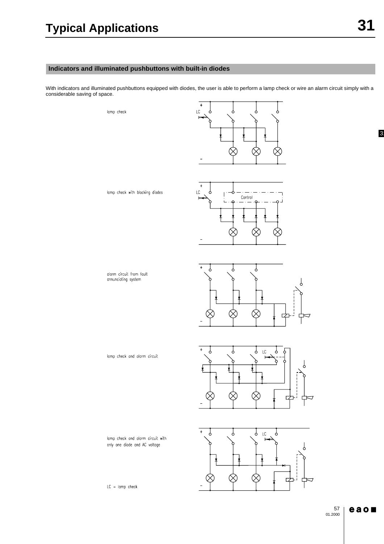31

## **Indicators and illuminated pushbuttons with built-in diodes**

With indicators and illuminated pushbuttons equipped with diodes, the user is able to perform a lamp check or wire an alarm circuit simply with a considerable saving of space.

lamp check



lamp check with blocking diodes



alarm circuit from fault annunciating system







lamp check and alarm circuit

lamp check and alarm circuit with only one diode and AC voltage

 $LC =$  lamp check